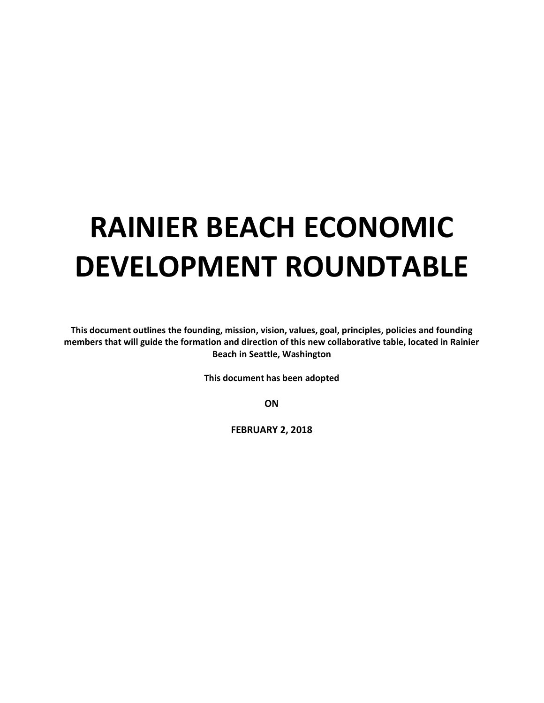# **RAINIER BEACH ECONOMIC DEVELOPMENT ROUNDTABLE**

**This document outlines the founding, mission, vision, values, goal, principles, policies and founding members that will guide the formation and direction of this new collaborative table, located in Rainier Beach in Seattle, Washington**

**This document has been adopted**

**ON**

**FEBRUARY 2, 2018**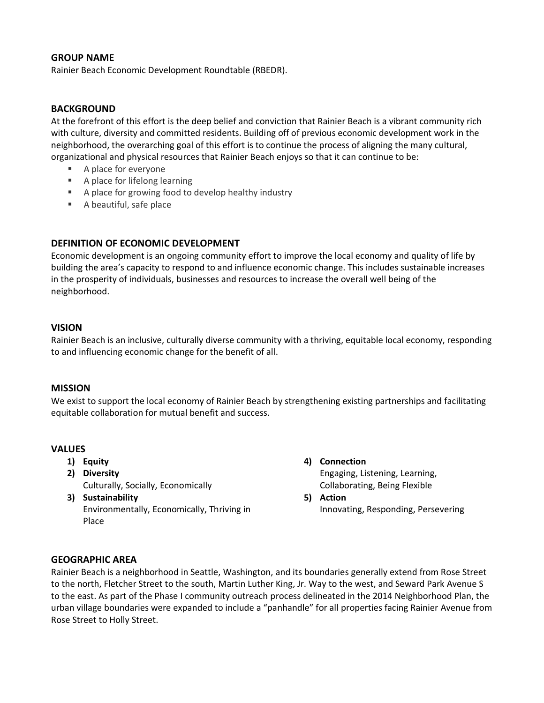# **GROUP NAME**

Rainier Beach Economic Development Roundtable (RBEDR).

#### **BACKGROUND**

At the forefront of this effort is the deep belief and conviction that Rainier Beach is a vibrant community rich with culture, diversity and committed residents. Building off of previous economic development work in the neighborhood, the overarching goal of this effort is to continue the process of aligning the many cultural, organizational and physical resources that Rainier Beach enjoys so that it can continue to be:

- A place for everyone
- A place for lifelong learning
- A place for growing food to develop healthy industry
- A beautiful, safe place

## **DEFINITION OF ECONOMIC DEVELOPMENT**

Economic development is an ongoing community effort to improve the local economy and quality of life by building the area's capacity to respond to and influence economic change. This includes sustainable increases in the prosperity of individuals, businesses and resources to increase the overall well being of the neighborhood.

#### **VISION**

Rainier Beach is an inclusive, culturally diverse community with a thriving, equitable local economy, responding to and influencing economic change for the benefit of all.

#### **MISSION**

We exist to support the local economy of Rainier Beach by strengthening existing partnerships and facilitating equitable collaboration for mutual benefit and success.

## **VALUES**

- **1) Equity**
- **2) Diversity** Culturally, Socially, Economically
- **3) Sustainability** Environmentally, Economically, Thriving in Place
- **4) Connection** Engaging, Listening, Learning, Collaborating, Being Flexible
- **5) Action** Innovating, Responding, Persevering

## **GEOGRAPHIC AREA**

Rainier Beach is a neighborhood in Seattle, Washington, and its boundaries generally extend from Rose Street to the north, Fletcher Street to the south, Martin Luther King, Jr. Way to the west, and Seward Park Avenue S to the east. As part of the Phase I community outreach process delineated in the 2014 Neighborhood Plan, the urban village boundaries were expanded to include a "panhandle" for all properties facing Rainier Avenue from Rose Street to Holly Street.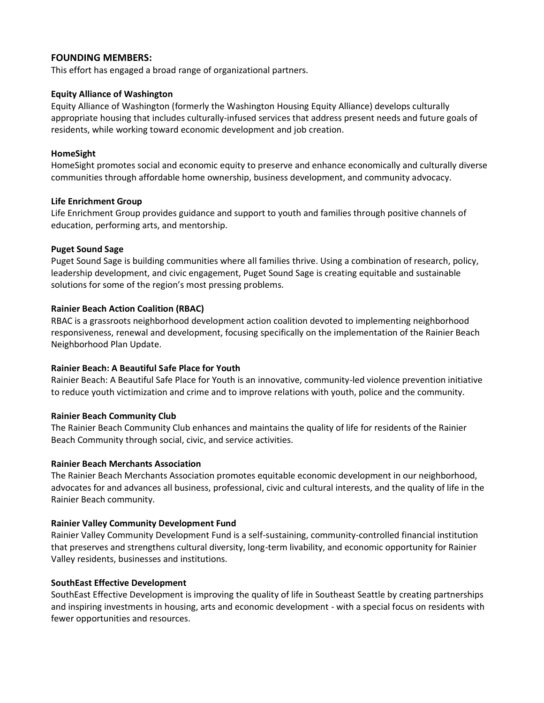# **FOUNDING MEMBERS:**

This effort has engaged a broad range of organizational partners.

#### **Equity Alliance of Washington**

Equity Alliance of Washington (formerly the Washington Housing Equity Alliance) develops culturally appropriate housing that includes culturally-infused services that address present needs and future goals of residents, while working toward economic development and job creation.

#### **HomeSight**

HomeSight promotes social and economic equity to preserve and enhance economically and culturally diverse communities through affordable home ownership, business development, and community advocacy.

#### **Life Enrichment Group**

Life Enrichment Group provides guidance and support to youth and families through positive channels of education, performing arts, and mentorship.

#### **Puget Sound Sage**

Puget Sound Sage is building communities where all families thrive. Using a combination of research, policy, leadership development, and civic engagement, Puget Sound Sage is creating equitable and sustainable solutions for some of the region's most pressing problems.

#### **Rainier Beach Action Coalition (RBAC)**

RBAC is a grassroots neighborhood development action coalition devoted to implementing neighborhood responsiveness, renewal and development, focusing specifically on the implementation of the Rainier Beach Neighborhood Plan Update.

## **Rainier Beach: A Beautiful Safe Place for Youth**

Rainier Beach: A Beautiful Safe Place for Youth is an innovative, community-led violence prevention initiative to reduce youth victimization and crime and to improve relations with youth, police and the community.

## **Rainier Beach Community Club**

The Rainier Beach Community Club enhances and maintains the quality of life for residents of the Rainier Beach Community through social, civic, and service activities.

#### **Rainier Beach Merchants Association**

The Rainier Beach Merchants Association promotes equitable economic development in our neighborhood, advocates for and advances all business, professional, civic and cultural interests, and the quality of life in the Rainier Beach community.

## **Rainier Valley Community Development Fund**

Rainier Valley Community Development Fund is a self-sustaining, community-controlled financial institution that preserves and strengthens cultural diversity, long-term livability, and economic opportunity for Rainier Valley residents, businesses and institutions.

## **SouthEast Effective Development**

SouthEast Effective Development is improving the quality of life in Southeast Seattle by creating partnerships and inspiring investments in housing, arts and economic development - with a special focus on residents with fewer opportunities and resources.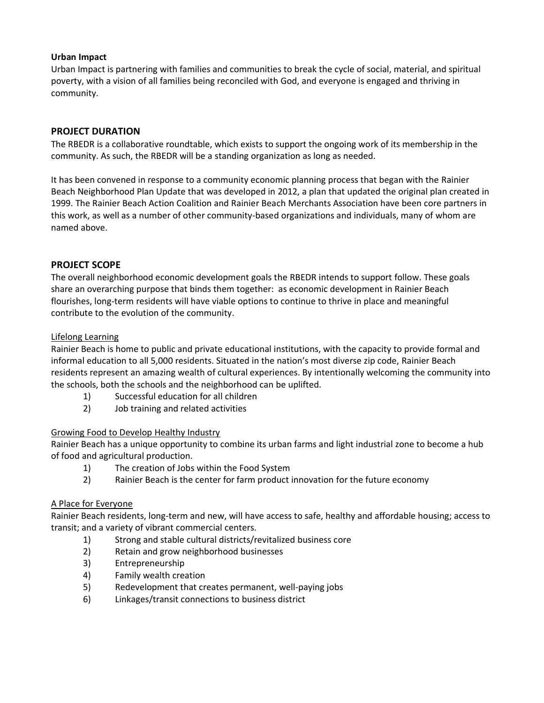# **Urban Impact**

Urban Impact is partnering with families and communities to break the cycle of social, material, and spiritual poverty, with a vision of all families being reconciled with God, and everyone is engaged and thriving in community.

# **PROJECT DURATION**

The RBEDR is a collaborative roundtable, which exists to support the ongoing work of its membership in the community. As such, the RBEDR will be a standing organization as long as needed.

It has been convened in response to a community economic planning process that began with the Rainier Beach Neighborhood Plan Update that was developed in 2012, a plan that updated the original plan created in 1999. The Rainier Beach Action Coalition and Rainier Beach Merchants Association have been core partners in this work, as well as a number of other community-based organizations and individuals, many of whom are named above.

# **PROJECT SCOPE**

The overall neighborhood economic development goals the RBEDR intends to support follow. These goals share an overarching purpose that binds them together: as economic development in Rainier Beach flourishes, long-term residents will have viable options to continue to thrive in place and meaningful contribute to the evolution of the community.

## Lifelong Learning

Rainier Beach is home to public and private educational institutions, with the capacity to provide formal and informal education to all 5,000 residents. Situated in the nation's most diverse zip code, Rainier Beach residents represent an amazing wealth of cultural experiences. By intentionally welcoming the community into the schools, both the schools and the neighborhood can be uplifted.

- 1) Successful education for all children
- 2) Job training and related activities

## Growing Food to Develop Healthy Industry

Rainier Beach has a unique opportunity to combine its urban farms and light industrial zone to become a hub of food and agricultural production.

- 1) The creation of Jobs within the Food System
- 2) Rainier Beach is the center for farm product innovation for the future economy

## A Place for Everyone

Rainier Beach residents, long-term and new, will have access to safe, healthy and affordable housing; access to transit; and a variety of vibrant commercial centers.

- 1) Strong and stable cultural districts/revitalized business core
- 2) Retain and grow neighborhood businesses
- 3) Entrepreneurship
- 4) Family wealth creation
- 5) Redevelopment that creates permanent, well-paying jobs
- 6) Linkages/transit connections to business district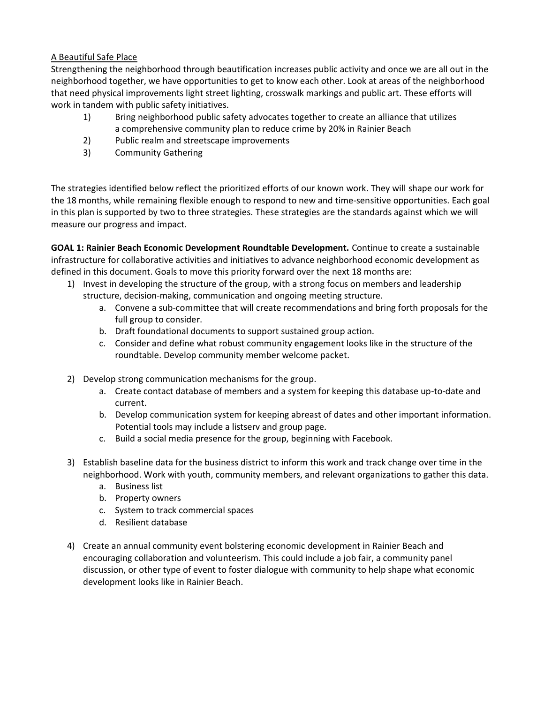# A Beautiful Safe Place

Strengthening the neighborhood through beautification increases public activity and once we are all out in the neighborhood together, we have opportunities to get to know each other. Look at areas of the neighborhood that need physical improvements light street lighting, crosswalk markings and public art. These efforts will work in tandem with public safety initiatives.

- 1) Bring neighborhood public safety advocates together to create an alliance that utilizes a comprehensive community plan to reduce crime by 20% in Rainier Beach
- 2) Public realm and streetscape improvements
- 3) Community Gathering

The strategies identified below reflect the prioritized efforts of our known work. They will shape our work for the 18 months, while remaining flexible enough to respond to new and time-sensitive opportunities. Each goal in this plan is supported by two to three strategies. These strategies are the standards against which we will measure our progress and impact.

**GOAL 1: Rainier Beach Economic Development Roundtable Development.** Continue to create a sustainable infrastructure for collaborative activities and initiatives to advance neighborhood economic development as defined in this document. Goals to move this priority forward over the next 18 months are:

- 1) Invest in developing the structure of the group, with a strong focus on members and leadership structure, decision-making, communication and ongoing meeting structure.
	- a. Convene a sub-committee that will create recommendations and bring forth proposals for the full group to consider.
	- b. Draft foundational documents to support sustained group action.
	- c. Consider and define what robust community engagement looks like in the structure of the roundtable. Develop community member welcome packet.
- 2) Develop strong communication mechanisms for the group.
	- a. Create contact database of members and a system for keeping this database up-to-date and current.
	- b. Develop communication system for keeping abreast of dates and other important information. Potential tools may include a listserv and group page.
	- c. Build a social media presence for the group, beginning with Facebook.
- 3) Establish baseline data for the business district to inform this work and track change over time in the neighborhood. Work with youth, community members, and relevant organizations to gather this data.
	- a. Business list
	- b. Property owners
	- c. System to track commercial spaces
	- d. Resilient database
- 4) Create an annual community event bolstering economic development in Rainier Beach and encouraging collaboration and volunteerism. This could include a job fair, a community panel discussion, or other type of event to foster dialogue with community to help shape what economic development looks like in Rainier Beach.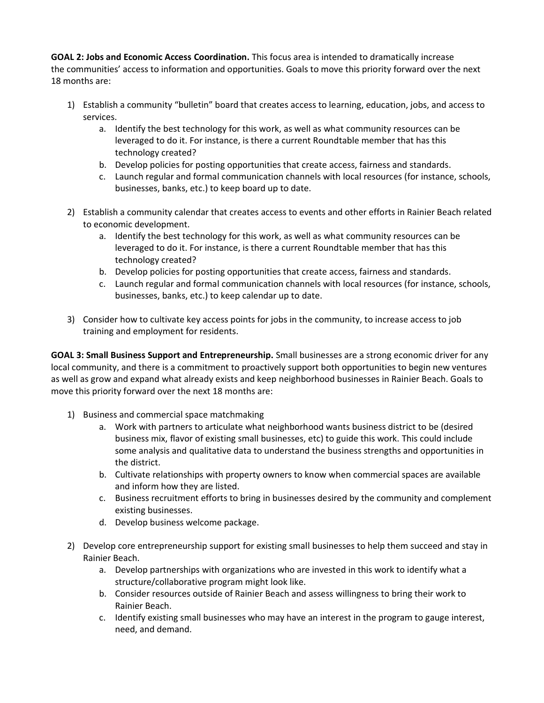**GOAL 2: Jobs and Economic Access Coordination.** This focus area is intended to dramatically increase the communities' access to information and opportunities. Goals to move this priority forward over the next 18 months are:

- 1) Establish a community "bulletin" board that creates access to learning, education, jobs, and access to services.
	- a. Identify the best technology for this work, as well as what community resources can be leveraged to do it. For instance, is there a current Roundtable member that has this technology created?
	- b. Develop policies for posting opportunities that create access, fairness and standards.
	- c. Launch regular and formal communication channels with local resources (for instance, schools, businesses, banks, etc.) to keep board up to date.
- 2) Establish a community calendar that creates access to events and other efforts in Rainier Beach related to economic development.
	- a. Identify the best technology for this work, as well as what community resources can be leveraged to do it. For instance, is there a current Roundtable member that has this technology created?
	- b. Develop policies for posting opportunities that create access, fairness and standards.
	- c. Launch regular and formal communication channels with local resources (for instance, schools, businesses, banks, etc.) to keep calendar up to date.
- 3) Consider how to cultivate key access points for jobs in the community, to increase access to job training and employment for residents.

**GOAL 3: Small Business Support and Entrepreneurship.** Small businesses are a strong economic driver for any local community, and there is a commitment to proactively support both opportunities to begin new ventures as well as grow and expand what already exists and keep neighborhood businesses in Rainier Beach. Goals to move this priority forward over the next 18 months are:

- 1) Business and commercial space matchmaking
	- a. Work with partners to articulate what neighborhood wants business district to be (desired business mix, flavor of existing small businesses, etc) to guide this work. This could include some analysis and qualitative data to understand the business strengths and opportunities in the district.
	- b. Cultivate relationships with property owners to know when commercial spaces are available and inform how they are listed.
	- c. Business recruitment efforts to bring in businesses desired by the community and complement existing businesses.
	- d. Develop business welcome package.
- 2) Develop core entrepreneurship support for existing small businesses to help them succeed and stay in Rainier Beach.
	- a. Develop partnerships with organizations who are invested in this work to identify what a structure/collaborative program might look like.
	- b. Consider resources outside of Rainier Beach and assess willingness to bring their work to Rainier Beach.
	- c. Identify existing small businesses who may have an interest in the program to gauge interest, need, and demand.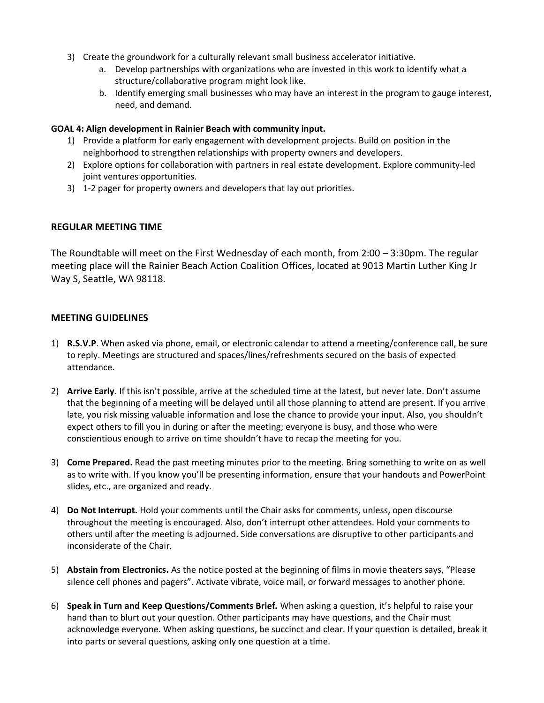- 3) Create the groundwork for a culturally relevant small business accelerator initiative.
	- a. Develop partnerships with organizations who are invested in this work to identify what a structure/collaborative program might look like.
	- b. Identify emerging small businesses who may have an interest in the program to gauge interest, need, and demand.

## **GOAL 4: Align development in Rainier Beach with community input.**

- 1) Provide a platform for early engagement with development projects. Build on position in the neighborhood to strengthen relationships with property owners and developers.
- 2) Explore options for collaboration with partners in real estate development. Explore community-led joint ventures opportunities.
- 3) 1-2 pager for property owners and developers that lay out priorities.

# **REGULAR MEETING TIME**

The Roundtable will meet on the First Wednesday of each month, from 2:00 – 3:30pm. The regular meeting place will the Rainier Beach Action Coalition Offices, located at 9013 Martin Luther King Jr Way S, Seattle, WA 98118.

# **MEETING GUIDELINES**

- 1) **R.S.V.P**. When asked via phone, email, or electronic calendar to attend a meeting/conference call, be sure to reply. Meetings are structured and spaces/lines/refreshments secured on the basis of expected attendance.
- 2) **Arrive Early.** If this isn't possible, arrive at the scheduled time at the latest, but never late. Don't assume that the beginning of a meeting will be delayed until all those planning to attend are present. If you arrive late, you risk missing valuable information and lose the chance to provide your input. Also, you shouldn't expect others to fill you in during or after the meeting; everyone is busy, and those who were conscientious enough to arrive on time shouldn't have to recap the meeting for you.
- 3) **Come Prepared.** Read the past meeting minutes prior to the meeting. Bring something to write on as well as to write with. If you know you'll be presenting information, ensure that your handouts and PowerPoint slides, etc., are organized and ready.
- 4) **Do Not Interrupt.** Hold your comments until the Chair asks for comments, unless, open discourse throughout the meeting is encouraged. Also, don't interrupt other attendees. Hold your comments to others until after the meeting is adjourned. Side conversations are disruptive to other participants and inconsiderate of the Chair.
- 5) **Abstain from Electronics.** As the notice posted at the beginning of films in movie theaters says, "Please silence cell phones and pagers". Activate vibrate, voice mail, or forward messages to another phone.
- 6) **Speak in Turn and Keep Questions/Comments Brief.** When asking a question, it's helpful to raise your hand than to blurt out your question. Other participants may have questions, and the Chair must acknowledge everyone. When asking questions, be succinct and clear. If your question is detailed, break it into parts or several questions, asking only one question at a time.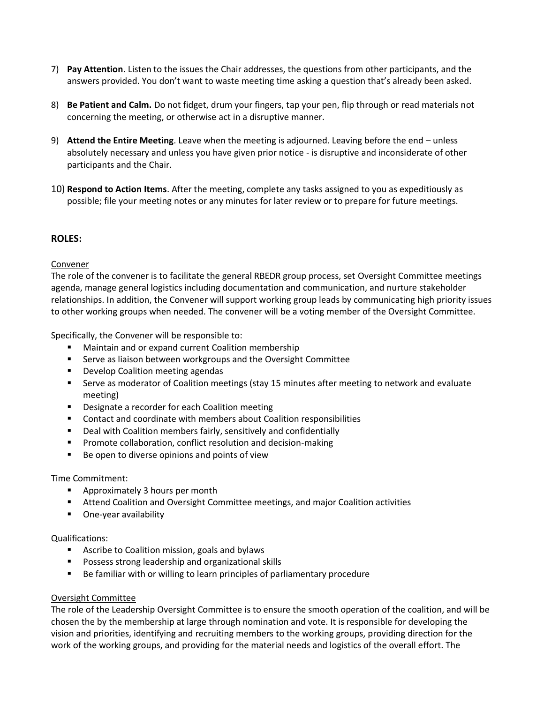- 7) **Pay Attention**. Listen to the issues the Chair addresses, the questions from other participants, and the answers provided. You don't want to waste meeting time asking a question that's already been asked.
- 8) **Be Patient and Calm.** Do not fidget, drum your fingers, tap your pen, flip through or read materials not concerning the meeting, or otherwise act in a disruptive manner.
- 9) **Attend the Entire Meeting**. Leave when the meeting is adjourned. Leaving before the end unless absolutely necessary and unless you have given prior notice - is disruptive and inconsiderate of other participants and the Chair.
- 10) **Respond to Action Items**. After the meeting, complete any tasks assigned to you as expeditiously as possible; file your meeting notes or any minutes for later review or to prepare for future meetings.

# **ROLES:**

## Convener

The role of the convener is to facilitate the general RBEDR group process, set Oversight Committee meetings agenda, manage general logistics including documentation and communication, and nurture stakeholder relationships. In addition, the Convener will support working group leads by communicating high priority issues to other working groups when needed. The convener will be a voting member of the Oversight Committee.

Specifically, the Convener will be responsible to:

- Maintain and or expand current Coalition membership
- Serve as liaison between workgroups and the Oversight Committee
- Develop Coalition meeting agendas
- **EXECT** Serve as moderator of Coalition meetings (stay 15 minutes after meeting to network and evaluate meeting)
- Designate a recorder for each Coalition meeting
- Contact and coordinate with members about Coalition responsibilities
- Deal with Coalition members fairly, sensitively and confidentially
- Promote collaboration, conflict resolution and decision-making
- Be open to diverse opinions and points of view

## Time Commitment:

- Approximately 3 hours per month
- Attend Coalition and Oversight Committee meetings, and major Coalition activities
- One-year availability

## Qualifications:

- Ascribe to Coalition mission, goals and bylaws
- Possess strong leadership and organizational skills
- Be familiar with or willing to learn principles of parliamentary procedure

## Oversight Committee

The role of the Leadership Oversight Committee is to ensure the smooth operation of the coalition, and will be chosen the by the membership at large through nomination and vote. It is responsible for developing the vision and priorities, identifying and recruiting members to the working groups, providing direction for the work of the working groups, and providing for the material needs and logistics of the overall effort. The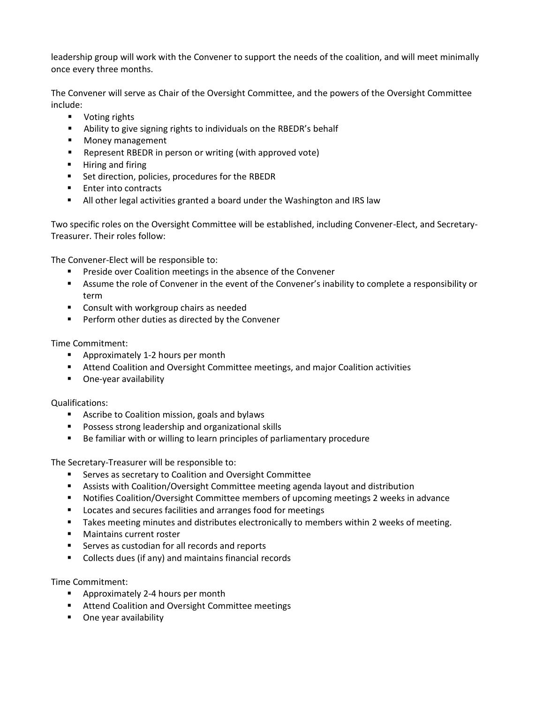leadership group will work with the Convener to support the needs of the coalition, and will meet minimally once every three months.

The Convener will serve as Chair of the Oversight Committee, and the powers of the Oversight Committee include:

- Voting rights
- Ability to give signing rights to individuals on the RBEDR's behalf
- Money management
- Represent RBEDR in person or writing (with approved vote)
- Hiring and firing
- Set direction, policies, procedures for the RBEDR
- Enter into contracts
- All other legal activities granted a board under the Washington and IRS law

Two specific roles on the Oversight Committee will be established, including Convener-Elect, and Secretary-Treasurer. Their roles follow:

The Convener-Elect will be responsible to:

- Preside over Coalition meetings in the absence of the Convener
- Assume the role of Convener in the event of the Convener's inability to complete a responsibility or term
- Consult with workgroup chairs as needed
- Perform other duties as directed by the Convener

Time Commitment:

- Approximately 1-2 hours per month
- Attend Coalition and Oversight Committee meetings, and major Coalition activities
- One-year availability

Qualifications:

- Ascribe to Coalition mission, goals and bylaws
- Possess strong leadership and organizational skills
- Be familiar with or willing to learn principles of parliamentary procedure

The Secretary-Treasurer will be responsible to:

- Serves as secretary to Coalition and Oversight Committee
- Assists with Coalition/Oversight Committee meeting agenda layout and distribution
- Notifies Coalition/Oversight Committee members of upcoming meetings 2 weeks in advance
- Locates and secures facilities and arranges food for meetings
- Takes meeting minutes and distributes electronically to members within 2 weeks of meeting.
- Maintains current roster
- Serves as custodian for all records and reports
- Collects dues (if any) and maintains financial records

Time Commitment:

- Approximately 2-4 hours per month
- Attend Coalition and Oversight Committee meetings
- One year availability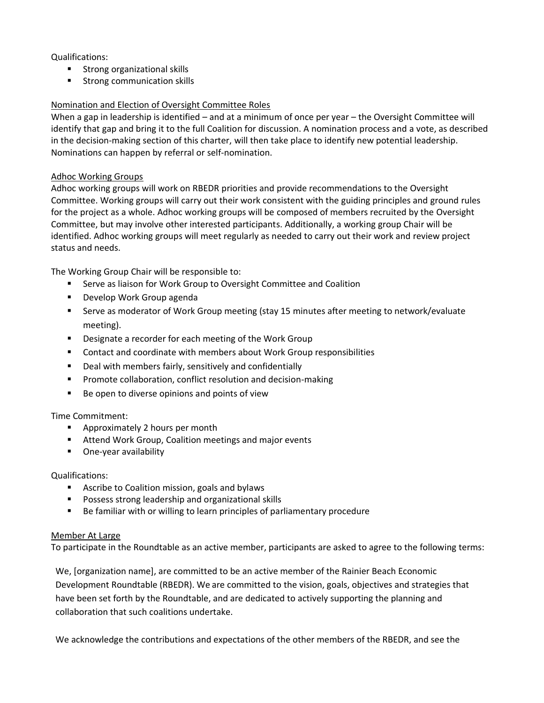Qualifications:

- Strong organizational skills
- Strong communication skills

# Nomination and Election of Oversight Committee Roles

When a gap in leadership is identified – and at a minimum of once per year – the Oversight Committee will identify that gap and bring it to the full Coalition for discussion. A nomination process and a vote, as described in the decision-making section of this charter, will then take place to identify new potential leadership. Nominations can happen by referral or self-nomination.

## Adhoc Working Groups

Adhoc working groups will work on RBEDR priorities and provide recommendations to the Oversight Committee. Working groups will carry out their work consistent with the guiding principles and ground rules for the project as a whole. Adhoc working groups will be composed of members recruited by the Oversight Committee, but may involve other interested participants. Additionally, a working group Chair will be identified. Adhoc working groups will meet regularly as needed to carry out their work and review project status and needs.

The Working Group Chair will be responsible to:

- Serve as liaison for Work Group to Oversight Committee and Coalition
- Develop Work Group agenda
- Serve as moderator of Work Group meeting (stay 15 minutes after meeting to network/evaluate meeting).
- Designate a recorder for each meeting of the Work Group
- Contact and coordinate with members about Work Group responsibilities
- Deal with members fairly, sensitively and confidentially
- Promote collaboration, conflict resolution and decision-making
- Be open to diverse opinions and points of view

## Time Commitment:

- Approximately 2 hours per month
- Attend Work Group, Coalition meetings and major events
- One-year availability

## Qualifications:

- Ascribe to Coalition mission, goals and bylaws
- Possess strong leadership and organizational skills
- Be familiar with or willing to learn principles of parliamentary procedure

## Member At Large

To participate in the Roundtable as an active member, participants are asked to agree to the following terms:

We, [organization name], are committed to be an active member of the Rainier Beach Economic Development Roundtable (RBEDR). We are committed to the vision, goals, objectives and strategies that have been set forth by the Roundtable, and are dedicated to actively supporting the planning and collaboration that such coalitions undertake.

We acknowledge the contributions and expectations of the other members of the RBEDR, and see the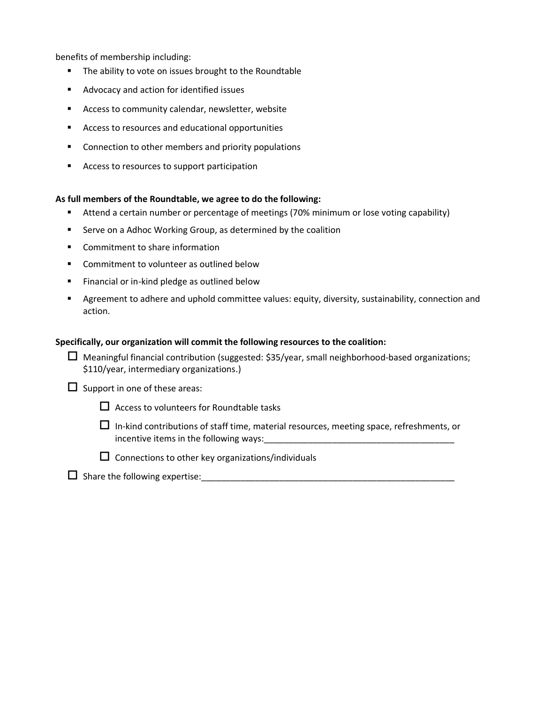benefits of membership including:

- The ability to vote on issues brought to the Roundtable
- Advocacy and action for identified issues
- Access to community calendar, newsletter, website
- Access to resources and educational opportunities
- Connection to other members and priority populations
- Access to resources to support participation

#### **As full members of the Roundtable, we agree to do the following:**

- Attend a certain number or percentage of meetings (70% minimum or lose voting capability)
- Serve on a Adhoc Working Group, as determined by the coalition
- Commitment to share information
- Commitment to volunteer as outlined below
- Financial or in-kind pledge as outlined below
- **EXECT** Agreement to adhere and uphold committee values: equity, diversity, sustainability, connection and action.

#### **Specifically, our organization will commit the following resources to the coalition:**

| $\Box$ Meaningful financial contribution (suggested: \$35/year, small neighborhood-based organizations; |
|---------------------------------------------------------------------------------------------------------|
| \$110/year, intermediary organizations.)                                                                |

 $\square$  Support in one of these areas:

- $\Box$  Access to volunteers for Roundtable tasks
- $\Box$  In-kind contributions of staff time, material resources, meeting space, refreshments, or incentive items in the following ways:
- $\square$  Connections to other key organizations/individuals
- $\square$  Share the following expertise: